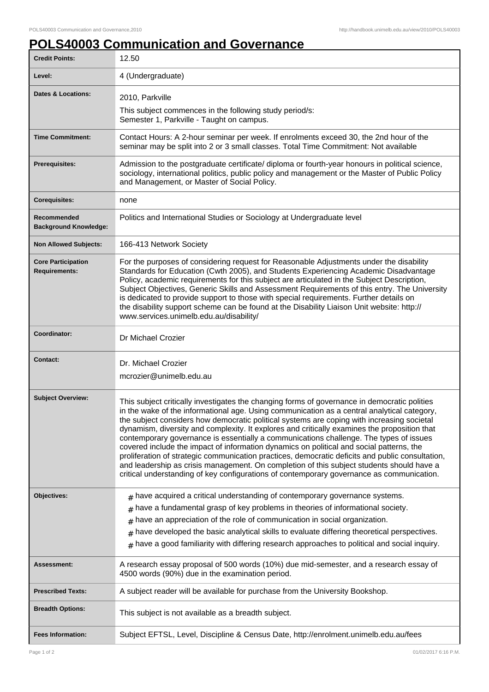## **POLS40003 Communication and Governance**

| <b>Credit Points:</b>                             | 12.50                                                                                                                                                                                                                                                                                                                                                                                                                                                                                                                                                                                                                                                                                                                                                                                                                                                                         |
|---------------------------------------------------|-------------------------------------------------------------------------------------------------------------------------------------------------------------------------------------------------------------------------------------------------------------------------------------------------------------------------------------------------------------------------------------------------------------------------------------------------------------------------------------------------------------------------------------------------------------------------------------------------------------------------------------------------------------------------------------------------------------------------------------------------------------------------------------------------------------------------------------------------------------------------------|
| Level:                                            | 4 (Undergraduate)                                                                                                                                                                                                                                                                                                                                                                                                                                                                                                                                                                                                                                                                                                                                                                                                                                                             |
| Dates & Locations:                                | 2010, Parkville                                                                                                                                                                                                                                                                                                                                                                                                                                                                                                                                                                                                                                                                                                                                                                                                                                                               |
|                                                   | This subject commences in the following study period/s:<br>Semester 1, Parkville - Taught on campus.                                                                                                                                                                                                                                                                                                                                                                                                                                                                                                                                                                                                                                                                                                                                                                          |
| <b>Time Commitment:</b>                           | Contact Hours: A 2-hour seminar per week. If enrolments exceed 30, the 2nd hour of the<br>seminar may be split into 2 or 3 small classes. Total Time Commitment: Not available                                                                                                                                                                                                                                                                                                                                                                                                                                                                                                                                                                                                                                                                                                |
| Prerequisites:                                    | Admission to the postgraduate certificate/ diploma or fourth-year honours in political science,<br>sociology, international politics, public policy and management or the Master of Public Policy<br>and Management, or Master of Social Policy.                                                                                                                                                                                                                                                                                                                                                                                                                                                                                                                                                                                                                              |
| <b>Corequisites:</b>                              | none                                                                                                                                                                                                                                                                                                                                                                                                                                                                                                                                                                                                                                                                                                                                                                                                                                                                          |
| Recommended<br><b>Background Knowledge:</b>       | Politics and International Studies or Sociology at Undergraduate level                                                                                                                                                                                                                                                                                                                                                                                                                                                                                                                                                                                                                                                                                                                                                                                                        |
| <b>Non Allowed Subjects:</b>                      | 166-413 Network Society                                                                                                                                                                                                                                                                                                                                                                                                                                                                                                                                                                                                                                                                                                                                                                                                                                                       |
| <b>Core Participation</b><br><b>Requirements:</b> | For the purposes of considering request for Reasonable Adjustments under the disability<br>Standards for Education (Cwth 2005), and Students Experiencing Academic Disadvantage<br>Policy, academic requirements for this subject are articulated in the Subject Description,<br>Subject Objectives, Generic Skills and Assessment Requirements of this entry. The University<br>is dedicated to provide support to those with special requirements. Further details on<br>the disability support scheme can be found at the Disability Liaison Unit website: http://<br>www.services.unimelb.edu.au/disability/                                                                                                                                                                                                                                                              |
| Coordinator:                                      | Dr Michael Crozier                                                                                                                                                                                                                                                                                                                                                                                                                                                                                                                                                                                                                                                                                                                                                                                                                                                            |
| <b>Contact:</b>                                   | Dr. Michael Crozier<br>mcrozier@unimelb.edu.au                                                                                                                                                                                                                                                                                                                                                                                                                                                                                                                                                                                                                                                                                                                                                                                                                                |
| <b>Subject Overview:</b>                          | This subject critically investigates the changing forms of governance in democratic polities<br>in the wake of the informational age. Using communication as a central analytical category,<br>the subject considers how democratic political systems are coping with increasing societal<br>dynamism, diversity and complexity. It explores and critically examines the proposition that<br>contemporary governance is essentially a communications challenge. The types of issues<br>covered include the impact of information dynamics on political and social patterns, the<br>proliferation of strategic communication practices, democratic deficits and public consultation,<br>and leadership as crisis management. On completion of this subject students should have a<br>critical understanding of key configurations of contemporary governance as communication. |
| Objectives:                                       | $*$ have acquired a critical understanding of contemporary governance systems.<br>have a fundamental grasp of key problems in theories of informational society.<br>have an appreciation of the role of communication in social organization.<br>#<br>have developed the basic analytical skills to evaluate differing theoretical perspectives.<br>#<br>have a good familiarity with differing research approaches to political and social inquiry.<br>#                                                                                                                                                                                                                                                                                                                                                                                                                     |
| Assessment:                                       | A research essay proposal of 500 words (10%) due mid-semester, and a research essay of<br>4500 words (90%) due in the examination period.                                                                                                                                                                                                                                                                                                                                                                                                                                                                                                                                                                                                                                                                                                                                     |
| <b>Prescribed Texts:</b>                          | A subject reader will be available for purchase from the University Bookshop.                                                                                                                                                                                                                                                                                                                                                                                                                                                                                                                                                                                                                                                                                                                                                                                                 |
| <b>Breadth Options:</b>                           | This subject is not available as a breadth subject.                                                                                                                                                                                                                                                                                                                                                                                                                                                                                                                                                                                                                                                                                                                                                                                                                           |
|                                                   |                                                                                                                                                                                                                                                                                                                                                                                                                                                                                                                                                                                                                                                                                                                                                                                                                                                                               |